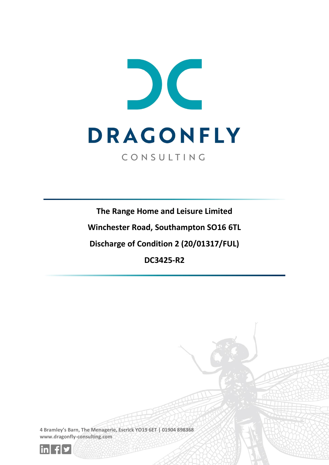

**The Range Home and Leisure Limited**

**Winchester Road, Southampton SO16 6TL**

**Discharge of Condition 2 (20/01317/FUL)**

**DC3425-R2**

**4 Bramley's Barn, The Menagerie, Escrick YO19 6ET | 01904 898368 www.dragonfly-consulting.com**

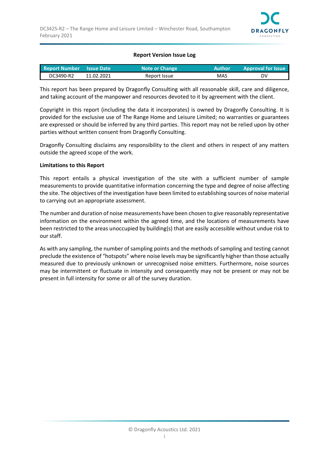

#### **Report Version Issue Log**

| Report Number Issue Date |            | <b>Note or Change</b> | <b>Author</b> | <b>Approval for Issue</b> |
|--------------------------|------------|-----------------------|---------------|---------------------------|
| DC3490-R2                | 11.02.2021 | Report Issue          | MAS           | DV                        |

This report has been prepared by Dragonfly Consulting with all reasonable skill, care and diligence, and taking account of the manpower and resources devoted to it by agreement with the client.

Copyright in this report (including the data it incorporates) is owned by Dragonfly Consulting. It is provided for the exclusive use of The Range Home and Leisure Limited; no warranties or guarantees are expressed or should be inferred by any third parties. This report may not be relied upon by other parties without written consent from Dragonfly Consulting.

Dragonfly Consulting disclaims any responsibility to the client and others in respect of any matters outside the agreed scope of the work.

#### **Limitations to this Report**

This report entails a physical investigation of the site with a sufficient number of sample measurements to provide quantitative information concerning the type and degree of noise affecting the site. The objectives of the investigation have been limited to establishing sources of noise material to carrying out an appropriate assessment.

The number and duration of noise measurements have been chosen to give reasonably representative information on the environment within the agreed time, and the locations of measurements have been restricted to the areas unoccupied by building(s) that are easily accessible without undue risk to our staff.

As with any sampling, the number of sampling points and the methods of sampling and testing cannot preclude the existence of "hotspots" where noise levels may be significantly higher than those actually measured due to previously unknown or unrecognised noise emitters. Furthermore, noise sources may be intermittent or fluctuate in intensity and consequently may not be present or may not be present in full intensity for some or all of the survey duration.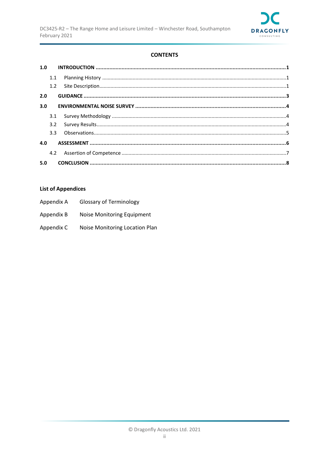

## **CONTENTS**

| 1.0 |     |  |
|-----|-----|--|
|     | 1.1 |  |
|     |     |  |
| 2.0 |     |  |
| 3.0 |     |  |
|     |     |  |
|     |     |  |
|     |     |  |
| 4.0 |     |  |
|     |     |  |
| 5.0 |     |  |

## **List of Appendices**

| Appendix A | <b>Glossary of Terminology</b> |
|------------|--------------------------------|
| Appendix B | Noise Monitoring Equipment     |
| Appendix C | Noise Monitoring Location Plan |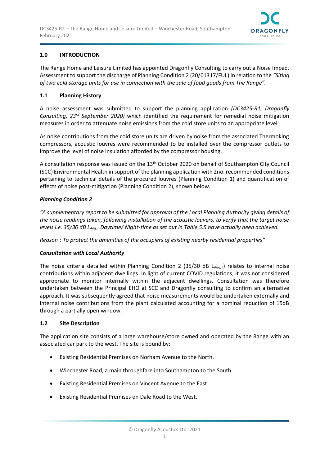

## <span id="page-3-0"></span>**1.0 INTRODUCTION**

The Range Home and Leisure Limited has appointed Dragonfly Consulting to carry out a Noise Impact Assessment to support the discharge of Planning Condition 2 (20/01317/FUL) in relation to the *"Siting of two cold storage units for use in connection with the sale of food goods from The Range".*

### <span id="page-3-1"></span>**1.1 Planning History**

A noise assessment was submitted to support the planning application *(DC3425-R1, Dragonfly Consulting, 23rd September 2020)* which identified the requirement for remedial noise mitigation measures in order to attenuate noise emissions from the cold store units to an appropriate level.

As noise contributions from the cold store units are driven by noise from the associated Thermoking compressors, acoustic louvres were recommended to be installed over the compressor outlets to improve the level of noise insulation afforded by the compressor housing.

A consultation response was issued on the 13<sup>th</sup> October 2020 on behalf of Southampton City Council (SCC) Environmental Health in support of the planning application with 2no. recommended conditions pertaining to technical details of the procured louvres (Planning Condition 1) and quantification of effects of noise post-mitigation (Planning Condition 2), shown below.

#### *Planning Condition 2*

*"A supplementary report to be submitted for approval of the Local Planning Authority giving details of the noise readings taken, following installation of the acoustic louvers, to verify that the target noise levels i.e. 35/30 dB LAeq,T Daytime/ Night-time as set out in Table 5.5 have actually been achieved.* 

*Reason : To protect the amenities of the occupiers of existing nearby residential properties"*

### *Consultation with Local Authority*

The noise criteria detailed within Planning Condition 2 (35/30 dB  $L_{Aeq,T}$ ) relates to internal noise contributions within adjacent dwellings. In light of current COVID regulations, it was not considered appropriate to monitor internally within the adjacent dwellings. Consultation was therefore undertaken between the Principal EHO at SCC and Dragonfly consulting to confirm an alternative approach. It was subsequently agreed that noise measurements would be undertaken externally and internal noise contributions from the plant calculated accounting for a nominal reduction of 15dB through a partially open window.

### <span id="page-3-2"></span>**1.2 Site Description**

The application site consists of a large warehouse/store owned and operated by the Range with an associated car park to the west. The site is bound by:

- Existing Residential Premises on Norham Avenue to the North.
- Winchester Road, a main throughfare into Southampton to the South.
- Existing Residential Premises on Vincent Avenue to the East.
- Existing Residential Premises on Dale Road to the West.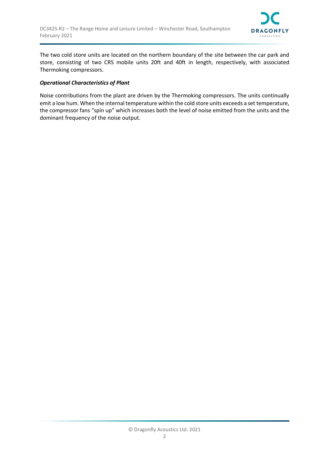

The two cold store units are located on the northern boundary of the site between the car park and store, consisting of two CRS mobile units 20ft and 40ft in length, respectively, with associated Thermoking compressors.

#### *Operational Characteristics of Plant*

Noise contributions from the plant are driven by the Thermoking compressors. The units continually emit a low hum. When the internal temperature within the cold store units exceeds a set temperature, the compressor fans "spin up" which increases both the level of noise emitted from the units and the dominant frequency of the noise output.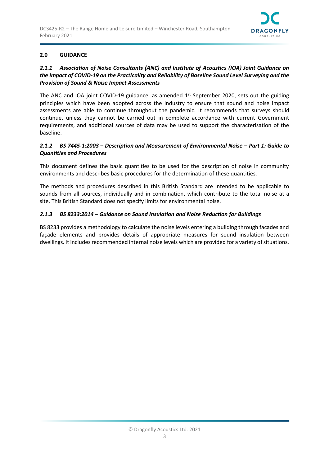

## <span id="page-5-0"></span>**2.0 GUIDANCE**

## *2.1.1 Association of Noise Consultants (ANC) and Institute of Acoustics (IOA) Joint Guidance on the Impact of COVID-19 on the Practicality and Reliability of Baseline Sound Level Surveying and the Provision of Sound & Noise Impact Assessments*

The ANC and IOA joint COVID-19 guidance, as amended  $1<sup>st</sup>$  September 2020, sets out the guiding principles which have been adopted across the industry to ensure that sound and noise impact assessments are able to continue throughout the pandemic. It recommends that surveys should continue, unless they cannot be carried out in complete accordance with current Government requirements, and additional sources of data may be used to support the characterisation of the baseline.

## *2.1.2 BS 7445-1:2003 – Description and Measurement of Environmental Noise – Part 1: Guide to Quantities and Procedures*

This document defines the basic quantities to be used for the description of noise in community environments and describes basic procedures for the determination of these quantities.

The methods and procedures described in this British Standard are intended to be applicable to sounds from all sources, individually and in combination, which contribute to the total noise at a site. This British Standard does not specify limits for environmental noise.

## *2.1.3 BS 8233:2014 – Guidance on Sound Insulation and Noise Reduction for Buildings*

BS 8233 provides a methodology to calculate the noise levels entering a building through facades and façade elements and provides details of appropriate measures for sound insulation between dwellings. It includes recommended internal noise levels which are provided for a variety of situations.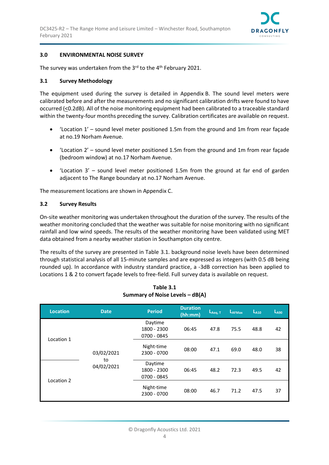

#### <span id="page-6-0"></span>**3.0 ENVIRONMENTAL NOISE SURVEY**

The survey was undertaken from the 3 $^{rd}$  to the 4<sup>th</sup> February 2021.

#### <span id="page-6-1"></span>**3.1 Survey Methodology**

The equipment used during the survey is detailed in Appendix B. The sound level meters were calibrated before and after the measurements and no significant calibration drifts were found to have occurred (<0.2dB). All of the noise monitoring equipment had been calibrated to a traceable standard within the twenty-four months preceding the survey. Calibration certificates are available on request.

- 'Location 1' sound level meter positioned 1.5m from the ground and 1m from rear façade at no.19 Norham Avenue.
- 'Location 2' sound level meter positioned 1.5m from the ground and 1m from rear façade (bedroom window) at no.17 Norham Avenue.
- 'Location 3' sound level meter positioned 1.5m from the ground at far end of garden adjacent to The Range boundary at no.17 Norham Avenue.

The measurement locations are shown in Appendix C.

#### <span id="page-6-2"></span>**3.2 Survey Results**

On-site weather monitoring was undertaken throughout the duration of the survey. The results of the weather monitoring concluded that the weather was suitable for noise monitoring with no significant rainfall and low wind speeds. The results of the weather monitoring have been validated using MET data obtained from a nearby weather station in Southampton city centre.

The results of the survey are presented in Table 3.1. background noise levels have been determined through statistical analysis of all 15-minute samples and are expressed as integers (with 0.5 dB being rounded up). In accordance with industry standard practice, a -3dB correction has been applied to Locations 1 & 2 to convert façade levels to free-field. Full survey data is available on request.

| <b>Location</b> | <b>Date</b>      | <b>Period</b>                         | <b>Duration</b><br>(hh:mm) | $\mathsf{L}_{\mathsf{Aeq},\,\mathsf{T}}$ | LAFMax | $L_{A10}$ | $L_{A90}$ |
|-----------------|------------------|---------------------------------------|----------------------------|------------------------------------------|--------|-----------|-----------|
|                 |                  | Daytime<br>1800 - 2300<br>0700 - 0845 | 06:45                      | 47.8                                     | 75.5   | 48.8      | 42        |
| Location 1      | 03/02/2021       | Night-time<br>2300 - 0700             | 08:00                      | 47.1                                     | 69.0   | 48.0      | 38        |
| Location 2      | to<br>04/02/2021 | Daytime<br>1800 - 2300<br>0700 - 0845 | 06:45                      | 48.2                                     | 72.3   | 49.5      | 42        |
|                 |                  | Night-time<br>2300 - 0700             | 08:00                      | 46.7                                     | 71.2   | 47.5      | 37        |

### **Table 3.1 Summary of Noise Levels – dB(A)**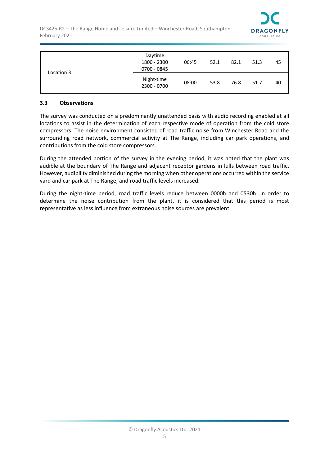

|            | Daytime<br>1800 - 2300<br>0700 - 0845 | 06:45 | 52.1 | 82.1 | 51.3 | 45 |
|------------|---------------------------------------|-------|------|------|------|----|
| Location 3 | Night-time<br>2300 - 0700             | 08:00 | 53.8 | 76.8 | 51.7 | 40 |

#### <span id="page-7-0"></span>**3.3 Observations**

The survey was conducted on a predominantly unattended basis with audio recording enabled at all locations to assist in the determination of each respective mode of operation from the cold store compressors. The noise environment consisted of road traffic noise from Winchester Road and the surrounding road network, commercial activity at The Range, including car park operations, and contributions from the cold store compressors.

During the attended portion of the survey in the evening period, it was noted that the plant was audible at the boundary of The Range and adjacent receptor gardens in lulls between road traffic. However, audibility diminished during the morning when other operations occurred within the service yard and car park at The Range, and road traffic levels increased.

During the night-time period, road traffic levels reduce between 0000h and 0530h. In order to determine the noise contribution from the plant, it is considered that this period is most representative as less influence from extraneous noise sources are prevalent.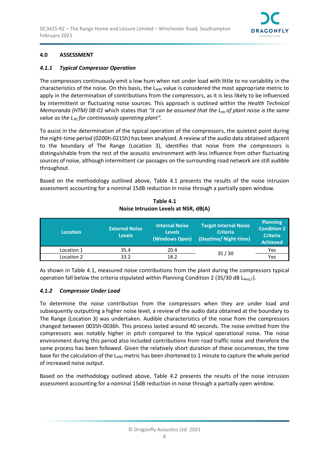

## <span id="page-8-0"></span>**4.0 ASSESSMENT**

### *4.1.1 Typical Compressor Operation*

The compressors continuously emit a low hum when not under load with little to no variability in the characteristics of the noise. On this basis, the  $L_{A90}$  value is considered the most appropriate metric to apply in the determination of contributions from the compressors, as it is less likely to be influenced by intermittent or fluctuating noise sources. This approach is outlined within the *Health Technical Memoranda (HTM) 08-01* which states that *"it can be assumed that the Leq of plant noise is the same value as the L<sup>90</sup> for continuously operating plant".* 

To assist in the determination of the typical operation of the compressors, the quietest point during the night-time period (0200h-0215h) has been analysed. A review of the audio data obtained adjacent to the boundary of The Range (Location 3), identifies that noise from the compressors is distinguishable from the rest of the acoustic environment with less influence from other fluctuating sources of noise, although intermittent car passages on the surrounding road network are still audible throughout.

Based on the methodology outlined above, Table 4.1 presents the results of the noise intrusion assessment accounting for a nominal 15dB reduction in noise through a partially open window.

| <b>Location</b> | <b>External Noise</b><br><b>Levels</b> | <b>Internal Noise</b><br><b>Levels</b><br>(Windows Open) | <b>Target Internal Noise</b><br><b>Criteria</b><br>(Daytime/ Night-time) | <b>Planning</b><br><b>Condition 2</b><br><b>Criteria</b><br><b>Achieved</b> |
|-----------------|----------------------------------------|----------------------------------------------------------|--------------------------------------------------------------------------|-----------------------------------------------------------------------------|
| Location 1      | 35.4                                   | 20.4                                                     | 35/30                                                                    | Yes                                                                         |
| Location 2      | 33.2                                   | 18.2                                                     |                                                                          | Yes                                                                         |

## **Table 4.1 Noise Intrusion Levels at NSR, dB(A)**

As shown in Table 4.1, measured noise contributions from the plant during the compressors typical operation fall below the criteria stipulated within Planning Condition 2 (35/30 dB  $L_{Aeq,T}$ ).

### *4.1.2 Compressor Under Load*

To determine the noise contribution from the compressors when they are under load and subsequently outputting a higher noise level, a review of the audio data obtained at the boundary to The Range (Location 3) was undertaken. Audible characteristics of the noise from the compressors changed between 0035h-0036h. This process lasted around 40 seconds. The noise emitted from the compressors was notably higher in pitch compared to the typical operational noise. The noise environment during this period also included contributions from road traffic noise and therefore the same process has been followed. Given the relatively short duration of these occurrences, the time base for the calculation of the  $L_{A90}$  metric has been shortened to 1 minute to capture the whole period of increased noise output.

Based on the methodology outlined above, Table 4.2 presents the results of the noise intrusion assessment accounting for a nominal 15dB reduction in noise through a partially open window.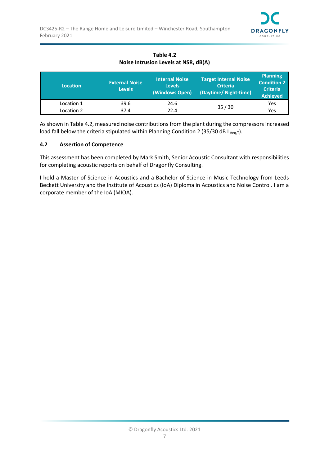

| Table 4.2                            |  |
|--------------------------------------|--|
| Noise Intrusion Levels at NSR, dB(A) |  |

| <b>Location</b> | <b>External Noise</b><br><b>Levels</b> | <b>Internal Noise</b><br><b>Levels</b><br>(Windows Open) | <b>Target Internal Noise</b><br><b>Criteria</b><br>(Daytime/ Night-time) | <b>Planning</b><br><b>Condition 2</b><br><b>Criteria</b><br><b>Achieved</b> |
|-----------------|----------------------------------------|----------------------------------------------------------|--------------------------------------------------------------------------|-----------------------------------------------------------------------------|
| Location 1      | 39.6                                   | 24.6                                                     | 35/30                                                                    | Yes                                                                         |
| Location 2      | 37.4                                   | 22.4                                                     |                                                                          | Yes                                                                         |

As shown in Table 4.2, measured noise contributions from the plant during the compressors increased load fall below the criteria stipulated within Planning Condition 2 (35/30 dB  $L_{Aeq,T}$ ).

#### <span id="page-9-0"></span>**4.2 Assertion of Competence**

This assessment has been completed by Mark Smith, Senior Acoustic Consultant with responsibilities for completing acoustic reports on behalf of Dragonfly Consulting.

I hold a Master of Science in Acoustics and a Bachelor of Science in Music Technology from Leeds Beckett University and the Institute of Acoustics (IoA) Diploma in Acoustics and Noise Control. I am a corporate member of the IoA (MIOA).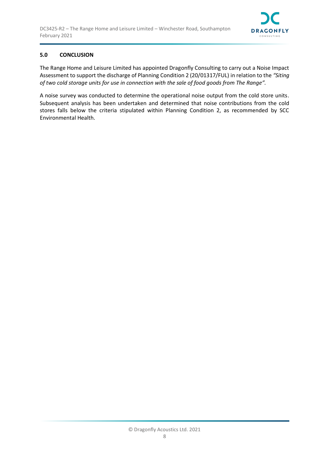

## <span id="page-10-0"></span>**5.0 CONCLUSION**

The Range Home and Leisure Limited has appointed Dragonfly Consulting to carry out a Noise Impact Assessment to support the discharge of Planning Condition 2 (20/01317/FUL) in relation to the *"Siting of two cold storage units for use in connection with the sale of food goods from The Range".*

A noise survey was conducted to determine the operational noise output from the cold store units. Subsequent analysis has been undertaken and determined that noise contributions from the cold stores falls below the criteria stipulated within Planning Condition 2, as recommended by SCC Environmental Health.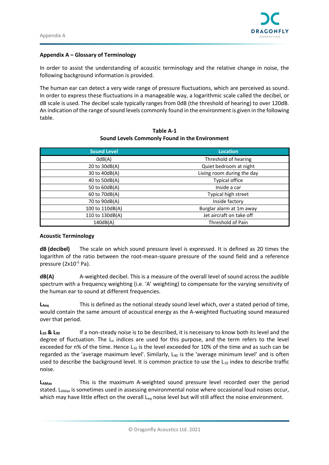

#### **Appendix A – Glossary of Terminology**

In order to assist the understanding of acoustic terminology and the relative change in noise, the following background information is provided.

The human ear can detect a very wide range of pressure fluctuations, which are perceived as sound. In order to express these fluctuations in a manageable way, a logarithmic scale called the decibel, or dB scale is used. The decibel scale typically ranges from 0dB (the threshold of hearing) to over 120dB. An indication of the range of sound levels commonly found in the environment is given in the following table.

| <b>Sound Level</b> | <b>Location</b>            |  |
|--------------------|----------------------------|--|
| OdB(A)             | Threshold of hearing       |  |
| 20 to 30dB(A)      | Quiet bedroom at night     |  |
| 30 to 40dB(A)      | Living room during the day |  |
| 40 to 50dB(A)      | <b>Typical office</b>      |  |
| 50 to 60dB(A)      | Inside a car               |  |
| 60 to 70dB(A)      | Typical high street        |  |
| 70 to 90dB(A)      | Inside factory             |  |
| 100 to 110dB(A)    | Burglar alarm at 1m away   |  |
| 110 to 130dB(A)    | Jet aircraft on take off   |  |
| 140dB(A)           | Threshold of Pain          |  |

#### **Table A-1 Sound Levels Commonly Found in the Environment**

#### **Acoustic Terminology**

**dB (decibel)** The scale on which sound pressure level is expressed. It is defined as 20 times the logarithm of the ratio between the root-mean-square pressure of the sound field and a reference pressure (2x10-5 Pa).

**dB(A)** A-weighted decibel. This is a measure of the overall level of sound across the audible spectrum with a frequency weighting (i.e. 'A' weighting) to compensate for the varying sensitivity of the human ear to sound at different frequencies.

**LAeq** This is defined as the notional steady sound level which, over a stated period of time, would contain the same amount of acoustical energy as the A-weighted fluctuating sound measured over that period.

**L<sup>10</sup> & L<sup>90</sup>** If a non-steady noise is to be described, it is necessary to know both its level and the degree of fluctuation. The  $L_n$  indices are used for this purpose, and the term refers to the level exceeded for n% of the time. Hence  $L_{10}$  is the level exceeded for 10% of the time and as such can be regarded as the 'average maximum level'. Similarly,  $L_{90}$  is the 'average minimum level' and is often used to describe the background level. It is common practice to use the  $L_{10}$  index to describe traffic noise.

**LAMax** This is the maximum A-weighted sound pressure level recorded over the period stated. L<sub>AMax</sub> is sometimes used in assessing environmental noise where occasional loud noises occur, which may have little effect on the overall L<sub>eq</sub> noise level but will still affect the noise environment.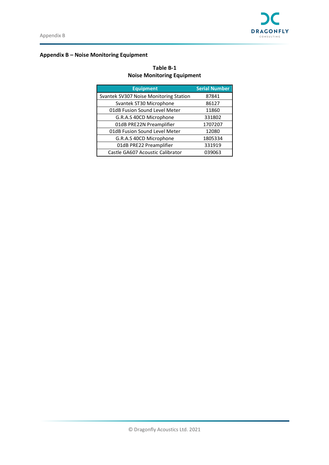

## **Appendix B – Noise Monitoring Equipment**

| Table B-1                         |  |
|-----------------------------------|--|
| <b>Noise Monitoring Equipment</b> |  |

| <b>Equipment</b>                       | <b>Serial Number</b> |
|----------------------------------------|----------------------|
| Svantek SV307 Noise Monitoring Station | 87841                |
| Svantek ST30 Microphone                | 86127                |
| 01dB Fusion Sound Level Meter          | 11860                |
| G.R.A.S 40CD Microphone                | 331802               |
| 01dB PRE22N Preamplifier               | 1707207              |
| 01dB Fusion Sound Level Meter          | 12080                |
| G.R.A.S 40CD Microphone                | 1805334              |
| 01dB PRE22 Preamplifier                | 331919               |
| Castle GA607 Acoustic Calibrator       | 039063               |